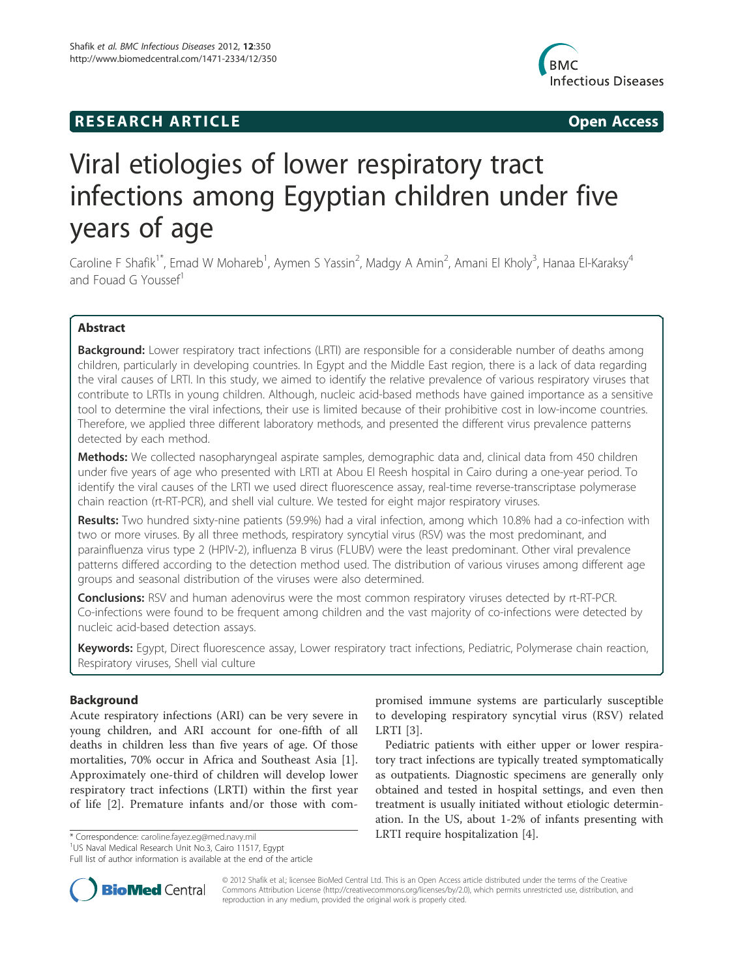# **RESEARCH ARTICLE Example 2014 12:30 The SEAR CHA RTICLE**



# Viral etiologies of lower respiratory tract infections among Egyptian children under five years of age

Caroline F Shafik<sup>1\*</sup>, Emad W Mohareb<sup>1</sup>, Aymen S Yassin<sup>2</sup>, Madgy A Amin<sup>2</sup>, Amani El Kholy<sup>3</sup>, Hanaa El-Karaksy<sup>4</sup> and Fouad G Youssef<sup>1</sup>

# Abstract

**Background:** Lower respiratory tract infections (LRTI) are responsible for a considerable number of deaths among children, particularly in developing countries. In Egypt and the Middle East region, there is a lack of data regarding the viral causes of LRTI. In this study, we aimed to identify the relative prevalence of various respiratory viruses that contribute to LRTIs in young children. Although, nucleic acid-based methods have gained importance as a sensitive tool to determine the viral infections, their use is limited because of their prohibitive cost in low-income countries. Therefore, we applied three different laboratory methods, and presented the different virus prevalence patterns detected by each method.

Methods: We collected nasopharyngeal aspirate samples, demographic data and, clinical data from 450 children under five years of age who presented with LRTI at Abou El Reesh hospital in Cairo during a one-year period. To identify the viral causes of the LRTI we used direct fluorescence assay, real-time reverse-transcriptase polymerase chain reaction (rt-RT-PCR), and shell vial culture. We tested for eight major respiratory viruses.

Results: Two hundred sixty-nine patients (59.9%) had a viral infection, among which 10.8% had a co-infection with two or more viruses. By all three methods, respiratory syncytial virus (RSV) was the most predominant, and parainfluenza virus type 2 (HPIV-2), influenza B virus (FLUBV) were the least predominant. Other viral prevalence patterns differed according to the detection method used. The distribution of various viruses among different age groups and seasonal distribution of the viruses were also determined.

**Conclusions:** RSV and human adenovirus were the most common respiratory viruses detected by rt-RT-PCR. Co-infections were found to be frequent among children and the vast majority of co-infections were detected by nucleic acid-based detection assays.

Keywords: Egypt, Direct fluorescence assay, Lower respiratory tract infections, Pediatric, Polymerase chain reaction, Respiratory viruses, Shell vial culture

# Background

Acute respiratory infections (ARI) can be very severe in young children, and ARI account for one-fifth of all deaths in children less than five years of age. Of those mortalities, 70% occur in Africa and Southeast Asia [1]. Approximately one-third of children will develop lower respiratory tract infections (LRTI) within the first year of life [2]. Premature infants and/or those with com-

Full list of author information is available at the end of the article

promised immune systems are particularly susceptible to developing respiratory syncytial virus (RSV) related LRTI [3].

Pediatric patients with either upper or lower respiratory tract infections are typically treated symptomatically as outpatients. Diagnostic specimens are generally only obtained and tested in hospital settings, and even then treatment is usually initiated without etiologic determination. In the US, about 1-2% of infants presenting with \*Correspondence: caroline.fayez.eg@med.navy.mil LRTI require hospitalization [4].



© 2012 Shafik et al.; licensee BioMed Central Ltd. This is an Open Access article distributed under the terms of the Creative Commons Attribution License (http://creativecommons.org/licenses/by/2.0), which permits unrestricted use, distribution, and reproduction in any medium, provided the original work is properly cited.

<sup>&</sup>lt;sup>1</sup>US Naval Medical Research Unit No.3, Cairo 11517, Egypt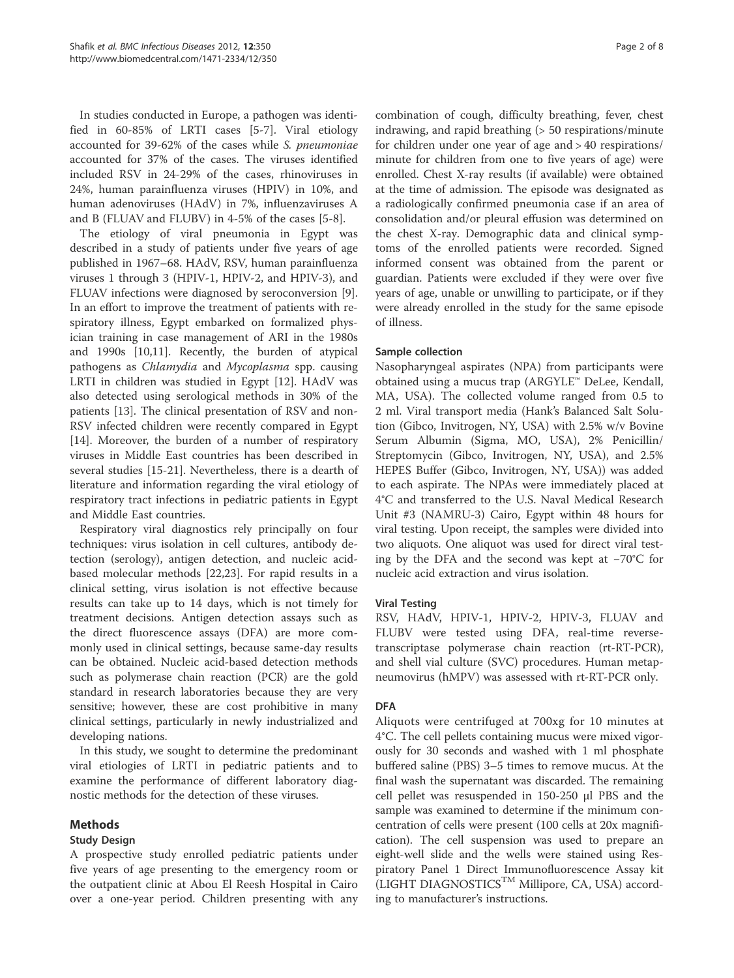In studies conducted in Europe, a pathogen was identified in 60-85% of LRTI cases [5-7]. Viral etiology accounted for 39-62% of the cases while S. pneumoniae accounted for 37% of the cases. The viruses identified included RSV in 24-29% of the cases, rhinoviruses in 24%, human parainfluenza viruses (HPIV) in 10%, and human adenoviruses (HAdV) in 7%, influenzaviruses A and B (FLUAV and FLUBV) in 4-5% of the cases [5-8].

The etiology of viral pneumonia in Egypt was described in a study of patients under five years of age published in 1967–68. HAdV, RSV, human parainfluenza viruses 1 through 3 (HPIV-1, HPIV-2, and HPIV-3), and FLUAV infections were diagnosed by seroconversion [9]. In an effort to improve the treatment of patients with respiratory illness, Egypt embarked on formalized physician training in case management of ARI in the 1980s and 1990s [10,11]. Recently, the burden of atypical pathogens as Chlamydia and Mycoplasma spp. causing LRTI in children was studied in Egypt [12]. HAdV was also detected using serological methods in 30% of the patients [13]. The clinical presentation of RSV and non-RSV infected children were recently compared in Egypt [14]. Moreover, the burden of a number of respiratory viruses in Middle East countries has been described in several studies [15-21]. Nevertheless, there is a dearth of literature and information regarding the viral etiology of respiratory tract infections in pediatric patients in Egypt and Middle East countries.

Respiratory viral diagnostics rely principally on four techniques: virus isolation in cell cultures, antibody detection (serology), antigen detection, and nucleic acidbased molecular methods [22,23]. For rapid results in a clinical setting, virus isolation is not effective because results can take up to 14 days, which is not timely for treatment decisions. Antigen detection assays such as the direct fluorescence assays (DFA) are more commonly used in clinical settings, because same-day results can be obtained. Nucleic acid-based detection methods such as polymerase chain reaction (PCR) are the gold standard in research laboratories because they are very sensitive; however, these are cost prohibitive in many clinical settings, particularly in newly industrialized and developing nations.

In this study, we sought to determine the predominant viral etiologies of LRTI in pediatric patients and to examine the performance of different laboratory diagnostic methods for the detection of these viruses.

# Methods

# Study Design

A prospective study enrolled pediatric patients under five years of age presenting to the emergency room or the outpatient clinic at Abou El Reesh Hospital in Cairo over a one-year period. Children presenting with any

combination of cough, difficulty breathing, fever, chest indrawing, and rapid breathing (> 50 respirations/minute for children under one year of age and > 40 respirations/ minute for children from one to five years of age) were enrolled. Chest X-ray results (if available) were obtained at the time of admission. The episode was designated as a radiologically confirmed pneumonia case if an area of consolidation and/or pleural effusion was determined on the chest X-ray. Demographic data and clinical symptoms of the enrolled patients were recorded. Signed informed consent was obtained from the parent or guardian. Patients were excluded if they were over five years of age, unable or unwilling to participate, or if they were already enrolled in the study for the same episode of illness.

# Sample collection

Nasopharyngeal aspirates (NPA) from participants were obtained using a mucus trap (ARGYLE™ DeLee, Kendall, MA, USA). The collected volume ranged from 0.5 to 2 ml. Viral transport media (Hank's Balanced Salt Solution (Gibco, Invitrogen, NY, USA) with 2.5% w/v Bovine Serum Albumin (Sigma, MO, USA), 2% Penicillin/ Streptomycin (Gibco, Invitrogen, NY, USA), and 2.5% HEPES Buffer (Gibco, Invitrogen, NY, USA)) was added to each aspirate. The NPAs were immediately placed at 4°C and transferred to the U.S. Naval Medical Research Unit #3 (NAMRU-3) Cairo, Egypt within 48 hours for viral testing. Upon receipt, the samples were divided into two aliquots. One aliquot was used for direct viral testing by the DFA and the second was kept at −70°C for nucleic acid extraction and virus isolation.

# Viral Testing

RSV, HAdV, HPIV-1, HPIV-2, HPIV-3, FLUAV and FLUBV were tested using DFA, real-time reversetranscriptase polymerase chain reaction (rt-RT-PCR), and shell vial culture (SVC) procedures. Human metapneumovirus (hMPV) was assessed with rt-RT-PCR only.

# DFA

Aliquots were centrifuged at 700xg for 10 minutes at 4°C. The cell pellets containing mucus were mixed vigorously for 30 seconds and washed with 1 ml phosphate buffered saline (PBS) 3–5 times to remove mucus. At the final wash the supernatant was discarded. The remaining cell pellet was resuspended in 150-250 μl PBS and the sample was examined to determine if the minimum concentration of cells were present (100 cells at 20x magnification). The cell suspension was used to prepare an eight-well slide and the wells were stained using Respiratory Panel 1 Direct Immunofluorescence Assay kit (LIGHT DIAGNOSTICSTM Millipore, CA, USA) according to manufacturer's instructions.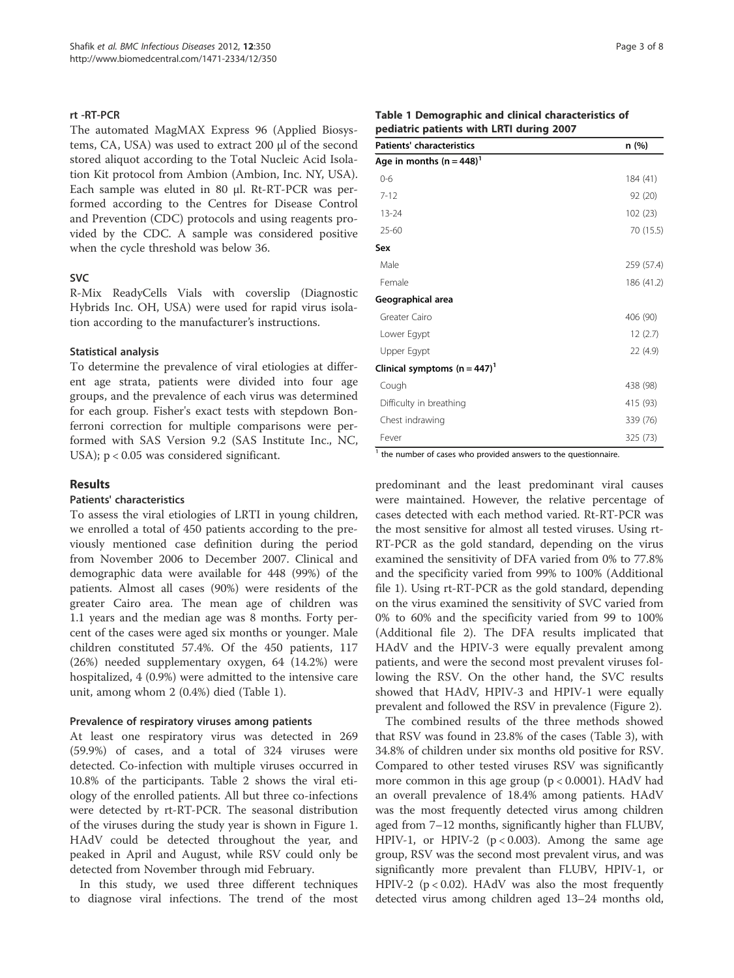#### rt -RT-PCR

The automated MagMAX Express 96 (Applied Biosystems, CA, USA) was used to extract 200 μl of the second stored aliquot according to the Total Nucleic Acid Isolation Kit protocol from Ambion (Ambion, Inc. NY, USA). Each sample was eluted in 80 μl. Rt-RT-PCR was performed according to the Centres for Disease Control and Prevention (CDC) protocols and using reagents provided by the CDC. A sample was considered positive when the cycle threshold was below 36.

# SVC

R-Mix ReadyCells Vials with coverslip (Diagnostic Hybrids Inc. OH, USA) were used for rapid virus isolation according to the manufacturer's instructions.

#### Statistical analysis

To determine the prevalence of viral etiologies at different age strata, patients were divided into four age groups, and the prevalence of each virus was determined for each group. Fisher's exact tests with stepdown Bonferroni correction for multiple comparisons were performed with SAS Version 9.2 (SAS Institute Inc., NC, USA); p < 0.05 was considered significant.

#### Results

# Patients' characteristics

To assess the viral etiologies of LRTI in young children, we enrolled a total of 450 patients according to the previously mentioned case definition during the period from November 2006 to December 2007. Clinical and demographic data were available for 448 (99%) of the patients. Almost all cases (90%) were residents of the greater Cairo area. The mean age of children was 1.1 years and the median age was 8 months. Forty percent of the cases were aged six months or younger. Male children constituted 57.4%. Of the 450 patients, 117 (26%) needed supplementary oxygen, 64 (14.2%) were hospitalized, 4 (0.9%) were admitted to the intensive care unit, among whom 2 (0.4%) died (Table 1).

# Prevalence of respiratory viruses among patients

At least one respiratory virus was detected in 269 (59.9%) of cases, and a total of 324 viruses were detected. Co-infection with multiple viruses occurred in 10.8% of the participants. Table 2 shows the viral etiology of the enrolled patients. All but three co-infections were detected by rt-RT-PCR. The seasonal distribution of the viruses during the study year is shown in Figure 1. HAdV could be detected throughout the year, and peaked in April and August, while RSV could only be detected from November through mid February.

In this study, we used three different techniques to diagnose viral infections. The trend of the most

#### Table 1 Demographic and clinical characteristics of pediatric patients with LRTI during 2007

| <b>Patients' characteristics</b> | n (%)      |
|----------------------------------|------------|
| Age in months $(n = 448)^1$      |            |
| $0 - 6$                          | 184 (41)   |
| $7 - 12$                         | 92 (20)    |
| $13 - 24$                        | 102(23)    |
| $25 - 60$                        | 70 (15.5)  |
| Sex                              |            |
| Male                             | 259 (57.4) |
| Female                           | 186 (41.2) |
| Geographical area                |            |
| Greater Cairo                    | 406 (90)   |
| Lower Egypt                      | 12(2.7)    |
| Upper Egypt                      | 22 (4.9)   |
| Clinical symptoms $(n = 447)^T$  |            |
| Cough                            | 438 (98)   |
| Difficulty in breathing          | 415 (93)   |
| Chest indrawing                  | 339 (76)   |
| Fever                            | 325 (73)   |

 $1$  the number of cases who provided answers to the questionnaire.

predominant and the least predominant viral causes were maintained. However, the relative percentage of cases detected with each method varied. Rt-RT-PCR was the most sensitive for almost all tested viruses. Using rt-RT-PCR as the gold standard, depending on the virus examined the sensitivity of DFA varied from 0% to 77.8% and the specificity varied from 99% to 100% (Additional file 1). Using rt-RT-PCR as the gold standard, depending on the virus examined the sensitivity of SVC varied from 0% to 60% and the specificity varied from 99 to 100% (Additional file 2). The DFA results implicated that HAdV and the HPIV-3 were equally prevalent among patients, and were the second most prevalent viruses following the RSV. On the other hand, the SVC results showed that HAdV, HPIV-3 and HPIV-1 were equally prevalent and followed the RSV in prevalence (Figure 2).

The combined results of the three methods showed that RSV was found in 23.8% of the cases (Table 3), with 34.8% of children under six months old positive for RSV. Compared to other tested viruses RSV was significantly more common in this age group (p < 0.0001). HAdV had an overall prevalence of 18.4% among patients. HAdV was the most frequently detected virus among children aged from 7–12 months, significantly higher than FLUBV, HPIV-1, or HPIV-2 ( $p < 0.003$ ). Among the same age group, RSV was the second most prevalent virus, and was significantly more prevalent than FLUBV, HPIV-1, or HPIV-2 ( $p < 0.02$ ). HAdV was also the most frequently detected virus among children aged 13–24 months old,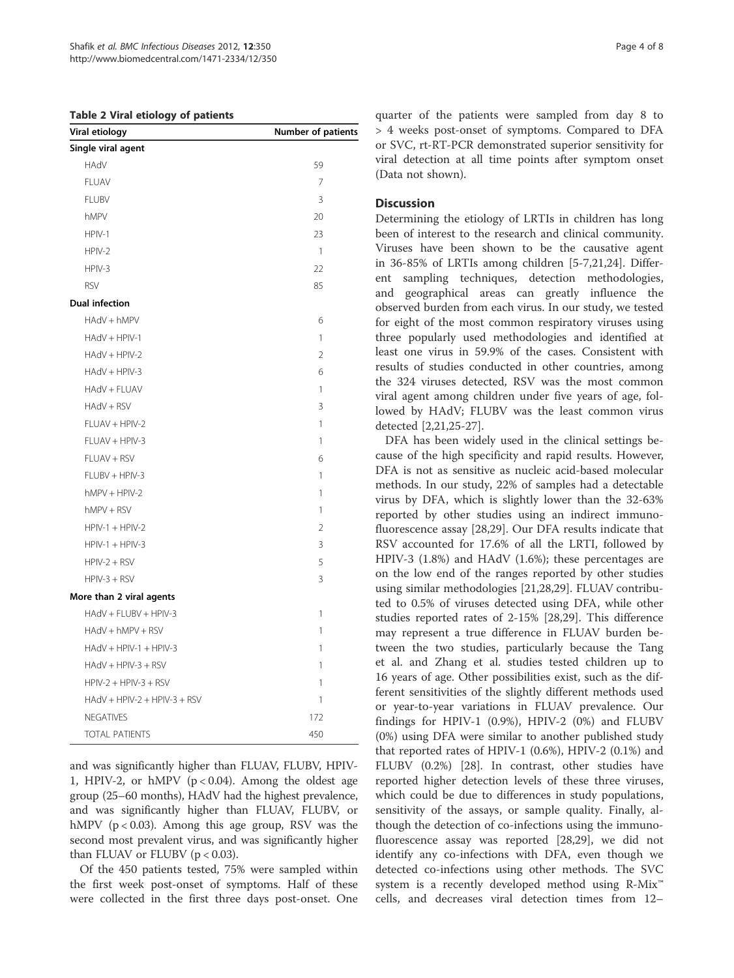|  |  |  | <b>Table 2 Viral etiology of patients</b> |  |  |
|--|--|--|-------------------------------------------|--|--|
|--|--|--|-------------------------------------------|--|--|

| Viral etiology                 | Number of patients |
|--------------------------------|--------------------|
| Single viral agent             |                    |
| <b>HAdV</b>                    | 59                 |
| FI UAV                         | $\overline{7}$     |
| <b>FLUBV</b>                   | 3                  |
| hMPV                           | 20                 |
| HPIV-1                         | 23                 |
| HPIV-2                         | $\overline{1}$     |
| HPIV-3                         | 22                 |
| <b>RSV</b>                     | 85                 |
| <b>Dual infection</b>          |                    |
| HAdV + hMPV                    | 6                  |
| $HAdV + HPIV-1$                | 1                  |
| HAdV + HPIV-2                  | $\overline{2}$     |
| $HAdV + HPIV-3$                | 6                  |
| HAdV + FLUAV                   | 1                  |
| HAdV + RSV                     | 3                  |
| FLUAV + HPIV-2                 | 1                  |
| FLUAV + HPIV-3                 | 1                  |
| FLUAV + RSV                    | 6                  |
| FLUBV + HPIV-3                 | 1                  |
| $hMPV + HPIV-2$                | 1                  |
| $hMPV + RSV$                   | 1                  |
| $HPIV-1 + HPIV-2$              | $\overline{2}$     |
| $HPIV-1 + HPIV-3$              | 3                  |
| $HPIV-2 + RSV$                 | 5                  |
| $HPIV-3 + RSV$                 | 3                  |
| More than 2 viral agents       |                    |
| HAdV + FLUBV + HPIV-3          | 1                  |
| HAdV + hMPV + RSV              | 1                  |
| $HAdV + HPIV-1 + HPIV-3$       | 1                  |
| $HAdV + HPIV-3 + RSV$          | 1                  |
| $HPIV-2 + HPIV-3 + RSV$        | 1                  |
| $HAdV + HPIV-2 + HPIV-3 + RSV$ | 1                  |
| <b>NEGATIVES</b>               | 172                |
| <b>TOTAL PATIENTS</b>          | 450                |

and was significantly higher than FLUAV, FLUBV, HPIV-1, HPIV-2, or  $hMPV$  ( $p < 0.04$ ). Among the oldest age group (25–60 months), HAdV had the highest prevalence, and was significantly higher than FLUAV, FLUBV, or hMPV (p < 0.03). Among this age group, RSV was the second most prevalent virus, and was significantly higher than FLUAV or FLUBV ( $p < 0.03$ ).

Of the 450 patients tested, 75% were sampled within the first week post-onset of symptoms. Half of these were collected in the first three days post-onset. One quarter of the patients were sampled from day 8 to > 4 weeks post-onset of symptoms. Compared to DFA or SVC, rt-RT-PCR demonstrated superior sensitivity for viral detection at all time points after symptom onset (Data not shown).

#### **Discussion**

Determining the etiology of LRTIs in children has long been of interest to the research and clinical community. Viruses have been shown to be the causative agent in 36-85% of LRTIs among children [5-7,21,24]. Different sampling techniques, detection methodologies, and geographical areas can greatly influence the observed burden from each virus. In our study, we tested for eight of the most common respiratory viruses using three popularly used methodologies and identified at least one virus in 59.9% of the cases. Consistent with results of studies conducted in other countries, among the 324 viruses detected, RSV was the most common viral agent among children under five years of age, followed by HAdV; FLUBV was the least common virus detected [2,21,25-27].

DFA has been widely used in the clinical settings because of the high specificity and rapid results. However, DFA is not as sensitive as nucleic acid-based molecular methods. In our study, 22% of samples had a detectable virus by DFA, which is slightly lower than the 32-63% reported by other studies using an indirect immunofluorescence assay [28,29]. Our DFA results indicate that RSV accounted for 17.6% of all the LRTI, followed by HPIV-3 (1.8%) and HAdV (1.6%); these percentages are on the low end of the ranges reported by other studies using similar methodologies [21,28,29]. FLUAV contributed to 0.5% of viruses detected using DFA, while other studies reported rates of 2-15% [28,29]. This difference may represent a true difference in FLUAV burden between the two studies, particularly because the Tang et al. and Zhang et al. studies tested children up to 16 years of age. Other possibilities exist, such as the different sensitivities of the slightly different methods used or year-to-year variations in FLUAV prevalence. Our findings for HPIV-1 (0.9%), HPIV-2 (0%) and FLUBV (0%) using DFA were similar to another published study that reported rates of HPIV-1 (0.6%), HPIV-2 (0.1%) and FLUBV (0.2%) [28]. In contrast, other studies have reported higher detection levels of these three viruses, which could be due to differences in study populations, sensitivity of the assays, or sample quality. Finally, although the detection of co-infections using the immunofluorescence assay was reported [28,29], we did not identify any co-infections with DFA, even though we detected co-infections using other methods. The SVC system is a recently developed method using R-Mix<sup>™</sup> cells, and decreases viral detection times from 12–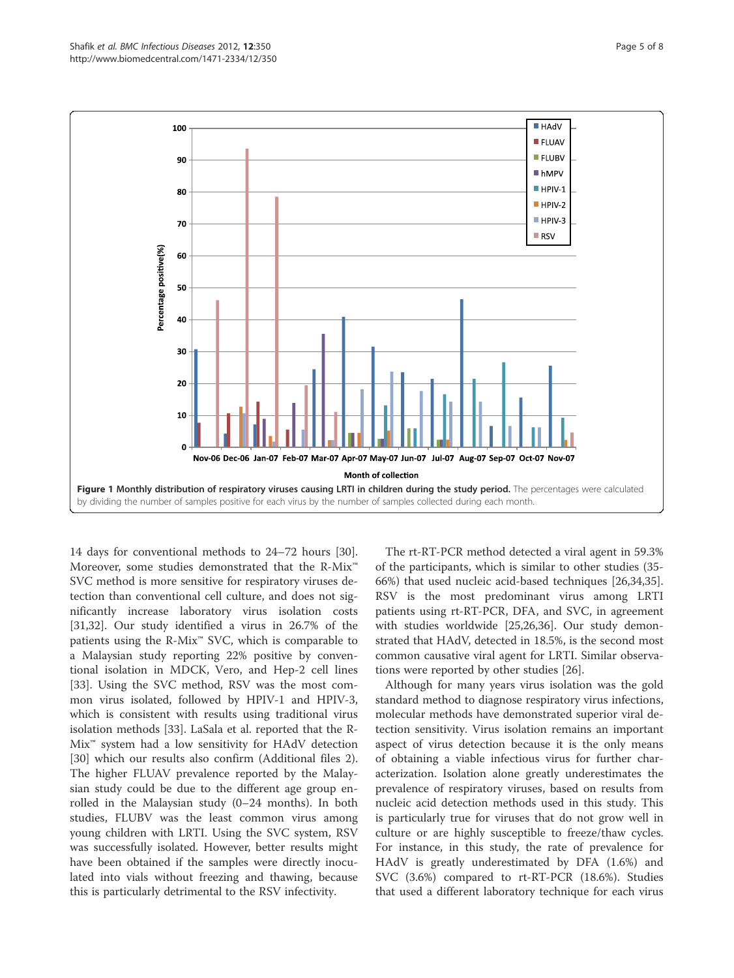

14 days for conventional methods to 24–72 hours [30]. Moreover, some studies demonstrated that the R-Mix™ SVC method is more sensitive for respiratory viruses detection than conventional cell culture, and does not significantly increase laboratory virus isolation costs [31,32]. Our study identified a virus in 26.7% of the patients using the R-Mix™ SVC, which is comparable to a Malaysian study reporting 22% positive by conventional isolation in MDCK, Vero, and Hep-2 cell lines [33]. Using the SVC method, RSV was the most common virus isolated, followed by HPIV-1 and HPIV-3, which is consistent with results using traditional virus isolation methods [33]. LaSala et al. reported that the R-Mix™ system had a low sensitivity for HAdV detection [30] which our results also confirm (Additional files 2). The higher FLUAV prevalence reported by the Malaysian study could be due to the different age group enrolled in the Malaysian study (0–24 months). In both studies, FLUBV was the least common virus among young children with LRTI. Using the SVC system, RSV was successfully isolated. However, better results might have been obtained if the samples were directly inoculated into vials without freezing and thawing, because this is particularly detrimental to the RSV infectivity.

The rt-RT-PCR method detected a viral agent in 59.3% of the participants, which is similar to other studies (35- 66%) that used nucleic acid-based techniques [26,34,35]. RSV is the most predominant virus among LRTI patients using rt-RT-PCR, DFA, and SVC, in agreement with studies worldwide [25,26,36]. Our study demonstrated that HAdV, detected in 18.5%, is the second most common causative viral agent for LRTI. Similar observations were reported by other studies [26].

Although for many years virus isolation was the gold standard method to diagnose respiratory virus infections, molecular methods have demonstrated superior viral detection sensitivity. Virus isolation remains an important aspect of virus detection because it is the only means of obtaining a viable infectious virus for further characterization. Isolation alone greatly underestimates the prevalence of respiratory viruses, based on results from nucleic acid detection methods used in this study. This is particularly true for viruses that do not grow well in culture or are highly susceptible to freeze/thaw cycles. For instance, in this study, the rate of prevalence for HAdV is greatly underestimated by DFA (1.6%) and SVC (3.6%) compared to rt-RT-PCR (18.6%). Studies that used a different laboratory technique for each virus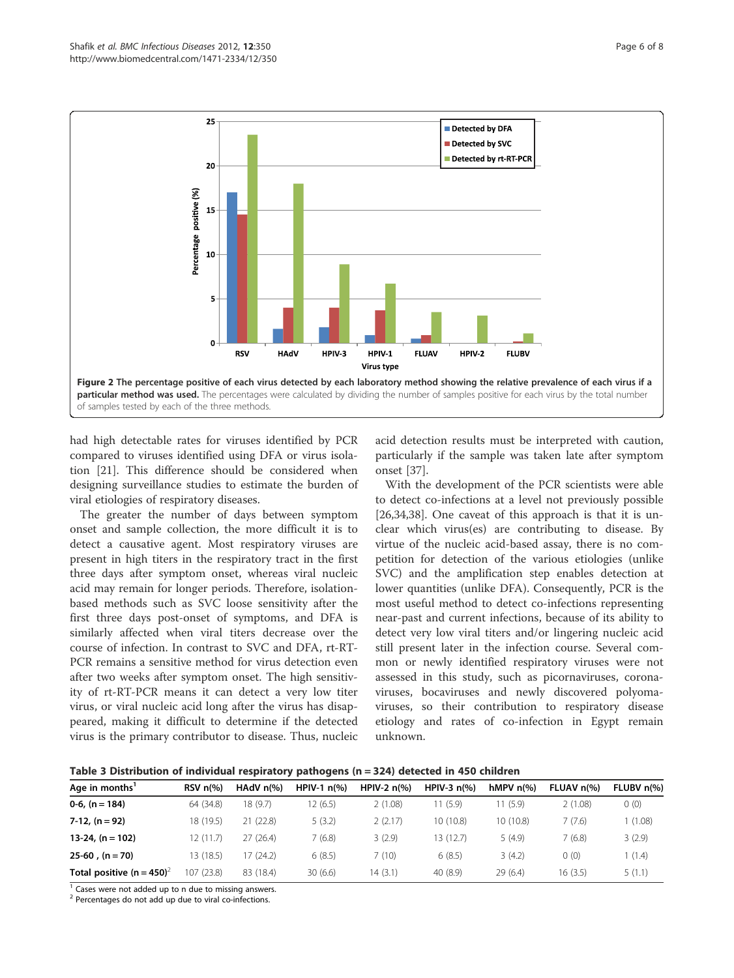

had high detectable rates for viruses identified by PCR compared to viruses identified using DFA or virus isolation [21]. This difference should be considered when designing surveillance studies to estimate the burden of viral etiologies of respiratory diseases.

The greater the number of days between symptom onset and sample collection, the more difficult it is to detect a causative agent. Most respiratory viruses are present in high titers in the respiratory tract in the first three days after symptom onset, whereas viral nucleic acid may remain for longer periods. Therefore, isolationbased methods such as SVC loose sensitivity after the first three days post-onset of symptoms, and DFA is similarly affected when viral titers decrease over the course of infection. In contrast to SVC and DFA, rt-RT-PCR remains a sensitive method for virus detection even after two weeks after symptom onset. The high sensitivity of rt-RT-PCR means it can detect a very low titer virus, or viral nucleic acid long after the virus has disappeared, making it difficult to determine if the detected virus is the primary contributor to disease. Thus, nucleic acid detection results must be interpreted with caution, particularly if the sample was taken late after symptom onset [37].

With the development of the PCR scientists were able to detect co-infections at a level not previously possible [26,34,38]. One caveat of this approach is that it is unclear which virus(es) are contributing to disease. By virtue of the nucleic acid-based assay, there is no competition for detection of the various etiologies (unlike SVC) and the amplification step enables detection at lower quantities (unlike DFA). Consequently, PCR is the most useful method to detect co-infections representing near-past and current infections, because of its ability to detect very low viral titers and/or lingering nucleic acid still present later in the infection course. Several common or newly identified respiratory viruses were not assessed in this study, such as picornaviruses, coronaviruses, bocaviruses and newly discovered polyomaviruses, so their contribution to respiratory disease etiology and rates of co-infection in Egypt remain unknown.

|  |  |  | Table 3 Distribution of individual respiratory pathogens (n = 324) detected in 450 children |
|--|--|--|---------------------------------------------------------------------------------------------|
|--|--|--|---------------------------------------------------------------------------------------------|

| Age in months'                                          | $RSV n\%$  | $HAdV n\%$   | $HPIV-1 n\%$ | HPIV-2 $n\%$ | HPIV-3 $n\%$ | $hMPV n\%$ | FLUAV n(%) | FLUBV n(%) |
|---------------------------------------------------------|------------|--------------|--------------|--------------|--------------|------------|------------|------------|
| 0-6, $(n = 184)$                                        | 64 (34.8)  | 18 (9.7)     | 2(6.5)       | 2(1.08)      | 11 (5.9)     | 11(5.9)    | 2(1.08)    | 0(0)       |
| $7-12$ , (n = 92)                                       | 18 (19.5)  | (22.8)<br>21 | 5(3.2)       | 2(2.17)      | 10 (10.8)    | 10(10.8)   | 7(7.6)     | (1.08)     |
| $13-24$ , (n = 102)                                     | 2(11.7)    | 27(26.4)     | 7 (6.8)      | 3(2.9)       | 13 (12.7)    | 5(4.9)     | 7(6.8)     | 3(2.9)     |
| $25-60$ , $(n=70)$                                      | 13 (18.5)  | 7(24.2)      | 6(8.5)       | (10)         | 6(8.5)       | 3(4.2)     | 0(0)       | (1.4)      |
| Total positive (n = 450) <sup><math>\angle</math></sup> | 107 (23.8) | 83 (18.4)    | 30(6.6)      | 14 (3.1)     | 40 (8.9)     | 29(6.4)    | 16 (3.5)   | 5(1.1)     |

 $1$  Cases were not added up to n due to missing answers.

<sup>2</sup> Percentages do not add up due to viral co-infections.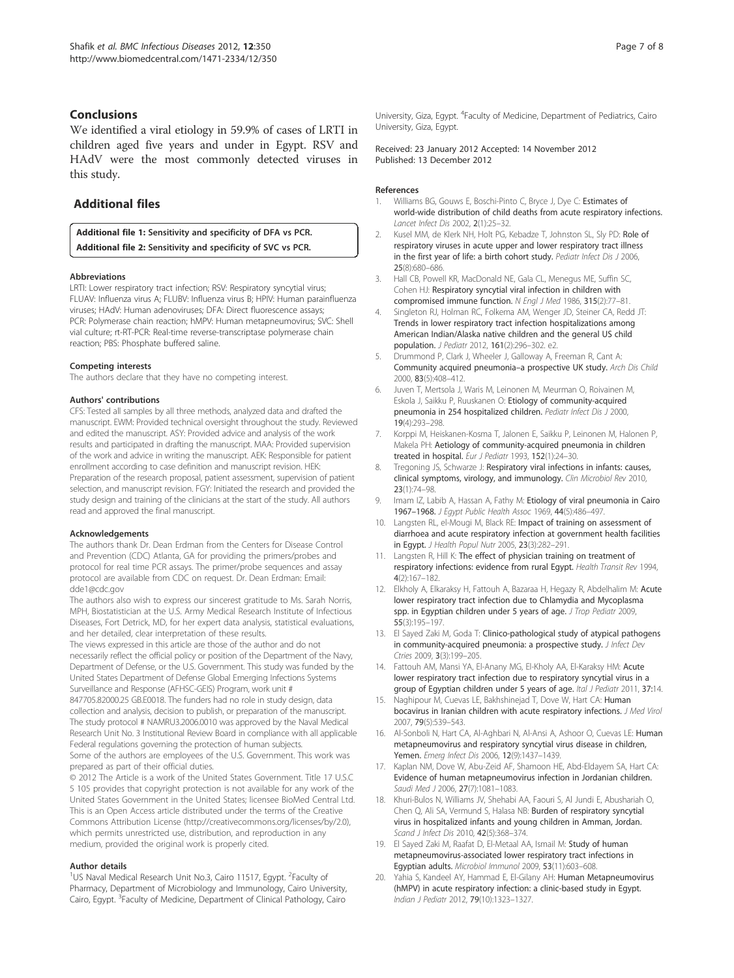#### Conclusions

We identified a viral etiology in 59.9% of cases of LRTI in children aged five years and under in Egypt. RSV and HAdV were the most commonly detected viruses in this study.

# Additional files

Additional file 1: Sensitivity and specificity of DFA vs PCR. Additional file 2: Sensitivity and specificity of SVC vs PCR.

#### Abbreviations

LRTI: Lower respiratory tract infection; RSV: Respiratory syncytial virus; FLUAV: Influenza virus A; FLUBV: Influenza virus B; HPIV: Human parainfluenza viruses; HAdV: Human adenoviruses; DFA: Direct fluorescence assays; PCR: Polymerase chain reaction; hMPV: Human metapneumovirus; SVC: Shell vial culture; rt-RT-PCR: Real-time reverse-transcriptase polymerase chain reaction; PBS: Phosphate buffered saline.

#### Competing interests

The authors declare that they have no competing interest.

#### Authors' contributions

CFS: Tested all samples by all three methods, analyzed data and drafted the manuscript. EWM: Provided technical oversight throughout the study. Reviewed and edited the manuscript. ASY: Provided advice and analysis of the work results and participated in drafting the manuscript. MAA: Provided supervision of the work and advice in writing the manuscript. AEK: Responsible for patient enrollment according to case definition and manuscript revision. HEK: Preparation of the research proposal, patient assessment, supervision of patient selection, and manuscript revision. FGY: Initiated the research and provided the study design and training of the clinicians at the start of the study. All authors read and approved the final manuscript.

#### Acknowledgements

The authors thank Dr. Dean Erdman from the Centers for Disease Control and Prevention (CDC) Atlanta, GA for providing the primers/probes and protocol for real time PCR assays. The primer/probe sequences and assay protocol are available from CDC on request. Dr. Dean Erdman: Email: dde1@cdc.gov

The authors also wish to express our sincerest gratitude to Ms. Sarah Norris, MPH, Biostatistician at the U.S. Army Medical Research Institute of Infectious Diseases, Fort Detrick, MD, for her expert data analysis, statistical evaluations, and her detailed, clear interpretation of these results.

The views expressed in this article are those of the author and do not necessarily reflect the official policy or position of the Department of the Navy, Department of Defense, or the U.S. Government. This study was funded by the United States Department of Defense Global Emerging Infections Systems Surveillance and Response (AFHSC-GEIS) Program, work unit #

847705.82000.25 GB.E0018. The funders had no role in study design, data collection and analysis, decision to publish, or preparation of the manuscript. The study protocol # NAMRU3.2006.0010 was approved by the Naval Medical Research Unit No. 3 Institutional Review Board in compliance with all applicable Federal regulations governing the protection of human subjects. Some of the authors are employees of the U.S. Government. This work was prepared as part of their official duties.

© 2012 The Article is a work of the United States Government. Title 17 U.S.C 5 105 provides that copyright protection is not available for any work of the United States Government in the United States; licensee BioMed Central Ltd. This is an Open Access article distributed under the terms of the Creative Commons Attribution License (http://creativecommons.org/licenses/by/2.0), which permits unrestricted use, distribution, and reproduction in any medium, provided the original work is properly cited.

#### Author details

<sup>1</sup>US Naval Medical Research Unit No.3, Cairo 11517, Egypt. <sup>2</sup>Faculty of Pharmacy, Department of Microbiology and Immunology, Cairo University, Cairo, Egypt. <sup>3</sup>Faculty of Medicine, Department of Clinical Pathology, Cairo

University, Giza, Egypt. <sup>4</sup>Faculty of Medicine, Department of Pediatrics, Cairc University, Giza, Egypt.

Received: 23 January 2012 Accepted: 14 November 2012 Published: 13 December 2012

#### References

- Williams BG, Gouws E, Boschi-Pinto C, Bryce J, Dye C: Estimates of world-wide distribution of child deaths from acute respiratory infections. Lancet Infect Dis 2002, 2(1):25–32.
- 2. Kusel MM, de Klerk NH, Holt PG, Kebadze T, Johnston SL, Sly PD: Role of respiratory viruses in acute upper and lower respiratory tract illness in the first year of life: a birth cohort study. Pediatr Infect Dis J 2006, 25(8):680–686.
- Hall CB, Powell KR, MacDonald NE, Gala CL, Menegus ME, Suffin SC, Cohen HJ: Respiratory syncytial viral infection in children with compromised immune function. N Engl J Med 1986, 315(2):77–81.
- 4. Singleton RJ, Holman RC, Folkema AM, Wenger JD, Steiner CA, Redd JT: Trends in lower respiratory tract infection hospitalizations among American Indian/Alaska native children and the general US child population. J Pediatr 2012, 161(2):296–302. e2.
- 5. Drummond P, Clark J, Wheeler J, Galloway A, Freeman R, Cant A: Community acquired pneumonia–a prospective UK study. Arch Dis Child 2000, 83(5):408–412.
- 6. Juven T, Mertsola J, Waris M, Leinonen M, Meurman O, Roivainen M, Eskola J, Saikku P, Ruuskanen O: Etiology of community-acquired pneumonia in 254 hospitalized children. Pediatr Infect Dis J 2000, 19(4):293–298.
- 7. Korppi M, Heiskanen-Kosma T, Jalonen E, Saikku P, Leinonen M, Halonen P, Makela PH: Aetiology of community-acquired pneumonia in children treated in hospital. Eur J Pediatr 1993, 152(1):24-30.
- 8. Tregoning JS, Schwarze J: Respiratory viral infections in infants: causes, clinical symptoms, virology, and immunology. Clin Microbiol Rev 2010, 23(1):74–98.
- Imam IZ, Labib A, Hassan A, Fathy M: Etiology of viral pneumonia in Cairo 1967–1968. J Egypt Public Health Assoc 1969, 44(5):486–497.
- 10. Langsten RL, el-Mougi M, Black RE: Impact of training on assessment of diarrhoea and acute respiratory infection at government health facilities in Egypt. J Health Popul Nutr 2005, 23(3):282–291.
- 11. Langsten R, Hill K: The effect of physician training on treatment of respiratory infections: evidence from rural Egypt. Health Transit Rev 1994, 4(2):167–182.
- 12. Elkholy A, Elkaraksy H, Fattouh A, Bazaraa H, Hegazy R, Abdelhalim M: Acute lower respiratory tract infection due to Chlamydia and Mycoplasma spp. in Egyptian children under 5 years of age. J Trop Pediatr 2009, 55(3):195–197.
- 13. El Sayed Zaki M, Goda T: Clinico-pathological study of atypical pathogens in community-acquired pneumonia: a prospective study. J Infect Dev Ctries 2009, 3(3):199–205.
- 14. Fattouh AM, Mansi YA, El-Anany MG, El-Kholy AA, El-Karaksy HM: Acute lower respiratory tract infection due to respiratory syncytial virus in a group of Egyptian children under 5 years of age. Ital J Pediatr 2011, 37:14.
- 15. Naghipour M, Cuevas LE, Bakhshinejad T, Dove W, Hart CA: Human bocavirus in Iranian children with acute respiratory infections. J Med Virol 2007, 79(5):539–543.
- 16. Al-Sonboli N, Hart CA, Al-Aghbari N, Al-Ansi A, Ashoor O, Cuevas LE: Human metapneumovirus and respiratory syncytial virus disease in children, Yemen. Emerg Infect Dis 2006, 12(9):1437-1439.
- 17. Kaplan NM, Dove W, Abu-Zeid AF, Shamoon HE, Abd-Eldayem SA, Hart CA: Evidence of human metapneumovirus infection in Jordanian children. Saudi Med J 2006, 27(7):1081–1083.
- 18. Khuri-Bulos N, Williams JV, Shehabi AA, Faouri S, Al Jundi E, Abushariah O, Chen Q, Ali SA, Vermund S, Halasa NB: Burden of respiratory syncytial virus in hospitalized infants and young children in Amman, Jordan. Scand J Infect Dis 2010, 42(5):368-374.
- 19. El Sayed Zaki M, Raafat D, El-Metaal AA, Ismail M: Study of human metapneumovirus-associated lower respiratory tract infections in Egyptian adults. Microbiol Immunol 2009, 53(11):603–608.
- 20. Yahia S, Kandeel AY, Hammad E, El-Gilany AH: Human Metapneumovirus (hMPV) in acute respiratory infection: a clinic-based study in Egypt. Indian J Pediatr 2012, 79(10):1323–1327.